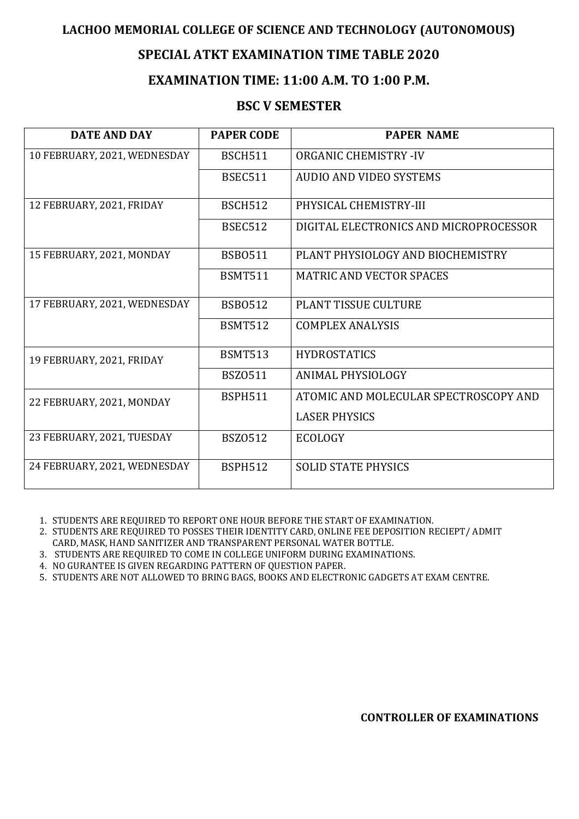# **LACHOO MEMORIAL COLLEGE OF SCIENCE AND TECHNOLOGY (AUTONOMOUS)**

# **SPECIAL ATKT EXAMINATION TIME TABLE 2020**

# **EXAMINATION TIME: 11:00 A.M. TO 1:00 P.M.**

# **BSC V SEMESTER**

| <b>DATE AND DAY</b>          | <b>PAPER CODE</b> | <b>PAPER NAME</b>                      |
|------------------------------|-------------------|----------------------------------------|
| 10 FEBRUARY, 2021, WEDNESDAY | <b>BSCH511</b>    | <b>ORGANIC CHEMISTRY -IV</b>           |
|                              | <b>BSEC511</b>    | <b>AUDIO AND VIDEO SYSTEMS</b>         |
| 12 FEBRUARY, 2021, FRIDAY    | <b>BSCH512</b>    | PHYSICAL CHEMISTRY-III                 |
|                              | <b>BSEC512</b>    | DIGITAL ELECTRONICS AND MICROPROCESSOR |
| 15 FEBRUARY, 2021, MONDAY    | <b>BSB0511</b>    | PLANT PHYSIOLOGY AND BIOCHEMISTRY      |
|                              | <b>BSMT511</b>    | <b>MATRIC AND VECTOR SPACES</b>        |
| 17 FEBRUARY, 2021, WEDNESDAY | <b>BSB0512</b>    | <b>PLANT TISSUE CULTURE</b>            |
|                              | <b>BSMT512</b>    | <b>COMPLEX ANALYSIS</b>                |
| 19 FEBRUARY, 2021, FRIDAY    | <b>BSMT513</b>    | <b>HYDROSTATICS</b>                    |
|                              | <b>BSZ0511</b>    | ANIMAL PHYSIOLOGY                      |
| 22 FEBRUARY, 2021, MONDAY    | <b>BSPH511</b>    | ATOMIC AND MOLECULAR SPECTROSCOPY AND  |
|                              |                   | <b>LASER PHYSICS</b>                   |
| 23 FEBRUARY, 2021, TUESDAY   | <b>BSZ0512</b>    | <b>ECOLOGY</b>                         |
| 24 FEBRUARY, 2021, WEDNESDAY | <b>BSPH512</b>    | <b>SOLID STATE PHYSICS</b>             |

1. STUDENTS ARE REQUIRED TO REPORT ONE HOUR BEFORE THE START OF EXAMINATION.

- 2. STUDENTS ARE REQUIRED TO POSSES THEIR IDENTITY CARD, ONLINE FEE DEPOSITION RECIEPT/ ADMIT CARD, MASK, HAND SANITIZER AND TRANSPARENT PERSONAL WATER BOTTLE.
- 3. STUDENTS ARE REQUIRED TO COME IN COLLEGE UNIFORM DURING EXAMINATIONS.
- 4. NO GURANTEE IS GIVEN REGARDING PATTERN OF QUESTION PAPER.
- 5. STUDENTS ARE NOT ALLOWED TO BRING BAGS, BOOKS AND ELECTRONIC GADGETS AT EXAM CENTRE.

**CONTROLLER OF EXAMINATIONS**